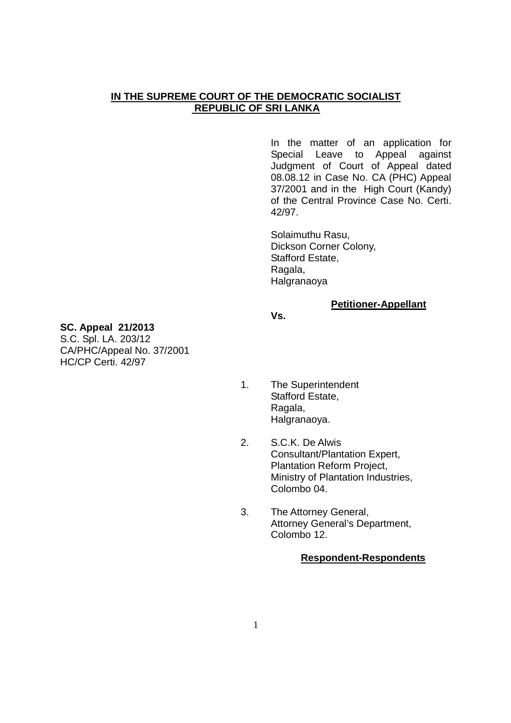### **IN THE SUPREME COURT OF THE DEMOCRATIC SOCIALIST REPUBLIC OF SRI LANKA**

In the matter of an application for Special Leave to Appeal against Judgment of Court of Appeal dated 08.08.12 in Case No. CA (PHC) Appeal 37/2001 and in the High Court (Kandy) of the Central Province Case No. Certi. 42/97.

Solaimuthu Rasu, Dickson Corner Colony, Stafford Estate, Ragala, Halgranaoya

#### **Petitioner-Appellant**

**Vs.** 

### **SC. Appeal 21/2013**

S.C. Spl. LA. 203/12 CA/PHC/Appeal No. 37/2001 HC/CP Certi. 42/97

- 1. The Superintendent Stafford Estate, Ragala, Halgranaoya.
- 2. S.C.K. De Alwis Consultant/Plantation Expert, Plantation Reform Project, Ministry of Plantation Industries, Colombo 04.
- 3. The Attorney General, Attorney General's Department, Colombo 12.

#### **Respondent-Respondents**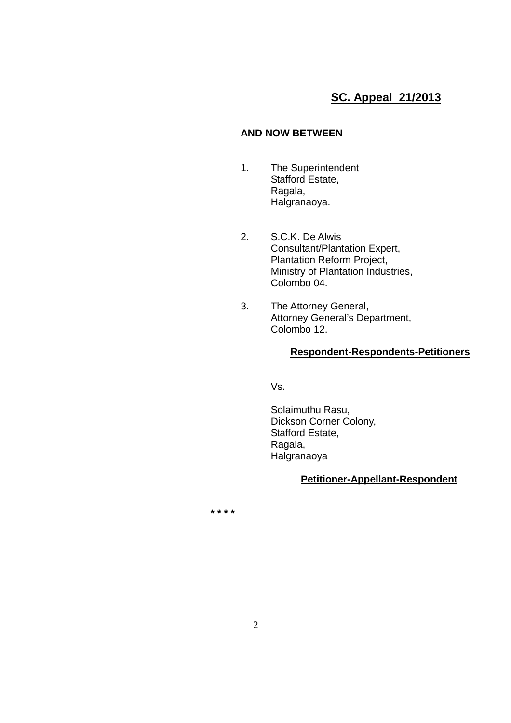## **SC. Appeal 21/2013**

### **AND NOW BETWEEN**

- 1. The Superintendent Stafford Estate, Ragala, Halgranaoya.
- 2. S.C.K. De Alwis Consultant/Plantation Expert, Plantation Reform Project, Ministry of Plantation Industries, Colombo 04.
- 3. The Attorney General, Attorney General's Department, Colombo 12.

### **Respondent-Respondents-Petitioners**

Vs.

Solaimuthu Rasu, Dickson Corner Colony, Stafford Estate, Ragala, Halgranaoya

### **Petitioner-Appellant-Respondent**

 **\* \* \* \***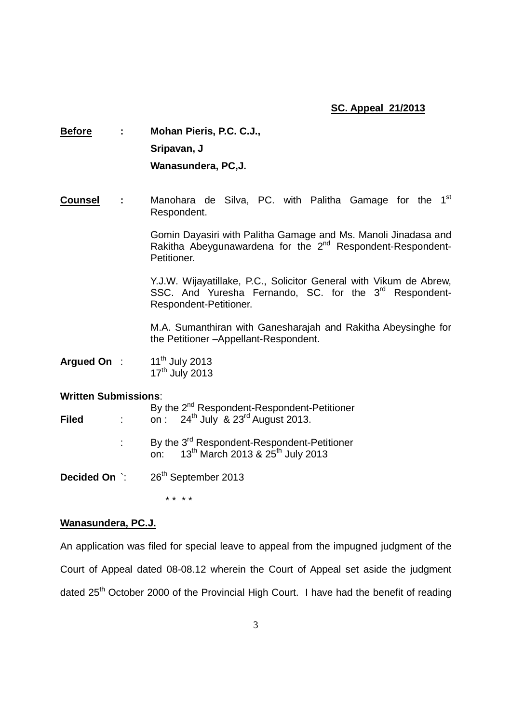### **SC. Appeal 21/2013**

# **Before : Mohan Pieris, P.C. C.J., Sripavan, J Wanasundera, PC,J.**

### Counsel : Manohara de Silva, PC. with Palitha Gamage for the 1<sup>st</sup> Respondent.

 Gomin Dayasiri with Palitha Gamage and Ms. Manoli Jinadasa and Rakitha Abeygunawardena for the 2<sup>nd</sup> Respondent-Respondent-Petitioner.

> Y.J.W. Wijayatillake, P.C., Solicitor General with Vikum de Abrew, SSC. And Yuresha Fernando, SC. for the 3<sup>rd</sup> Respondent-Respondent-Petitioner.

> M.A. Sumanthiran with Ganesharajah and Rakitha Abeysinghe for the Petitioner –Appellant-Respondent.

**Arqued On** : 11<sup>th</sup> July 2013  $17<sup>th</sup>$  July 2013

### **Written Submissions**:

| <b>Filed</b> |  | By the 2 <sup>nd</sup> Respondent-Respondent-Petitioner<br>on : 24 <sup>th</sup> July & 23 <sup>rd</sup> August 2013.   |
|--------------|--|-------------------------------------------------------------------------------------------------------------------------|
|              |  | By the 3 <sup>rd</sup> Respondent-Respondent-Petitioner<br>on: 13 <sup>th</sup> March 2013 & 25 <sup>th</sup> July 2013 |
|              |  | <b>Decided On :</b> 26 <sup>th</sup> September 2013                                                                     |

\* \* \* \*

### **Wanasundera, PC.J.**

An application was filed for special leave to appeal from the impugned judgment of the Court of Appeal dated 08-08.12 wherein the Court of Appeal set aside the judgment dated 25<sup>th</sup> October 2000 of the Provincial High Court. I have had the benefit of reading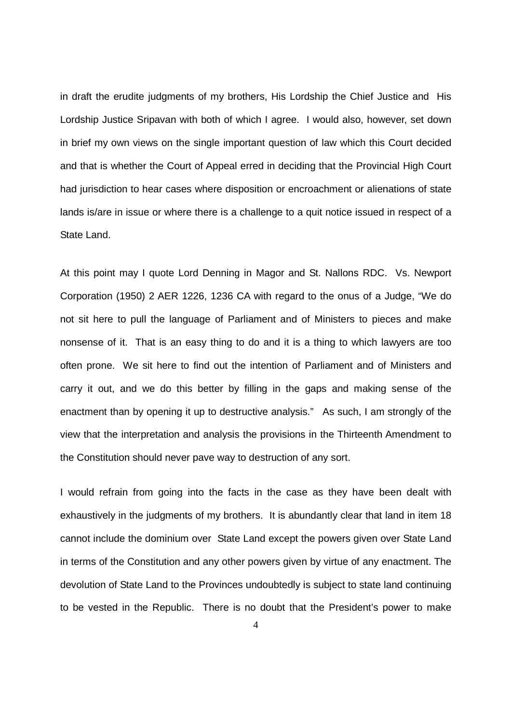in draft the erudite judgments of my brothers, His Lordship the Chief Justice and His Lordship Justice Sripavan with both of which I agree. I would also, however, set down in brief my own views on the single important question of law which this Court decided and that is whether the Court of Appeal erred in deciding that the Provincial High Court had jurisdiction to hear cases where disposition or encroachment or alienations of state lands is/are in issue or where there is a challenge to a quit notice issued in respect of a State Land.

At this point may I quote Lord Denning in Magor and St. Nallons RDC. Vs. Newport Corporation (1950) 2 AER 1226, 1236 CA with regard to the onus of a Judge, "We do not sit here to pull the language of Parliament and of Ministers to pieces and make nonsense of it. That is an easy thing to do and it is a thing to which lawyers are too often prone. We sit here to find out the intention of Parliament and of Ministers and carry it out, and we do this better by filling in the gaps and making sense of the enactment than by opening it up to destructive analysis." As such, I am strongly of the view that the interpretation and analysis the provisions in the Thirteenth Amendment to the Constitution should never pave way to destruction of any sort.

I would refrain from going into the facts in the case as they have been dealt with exhaustively in the judgments of my brothers. It is abundantly clear that land in item 18 cannot include the dominium over State Land except the powers given over State Land in terms of the Constitution and any other powers given by virtue of any enactment. The devolution of State Land to the Provinces undoubtedly is subject to state land continuing to be vested in the Republic. There is no doubt that the President's power to make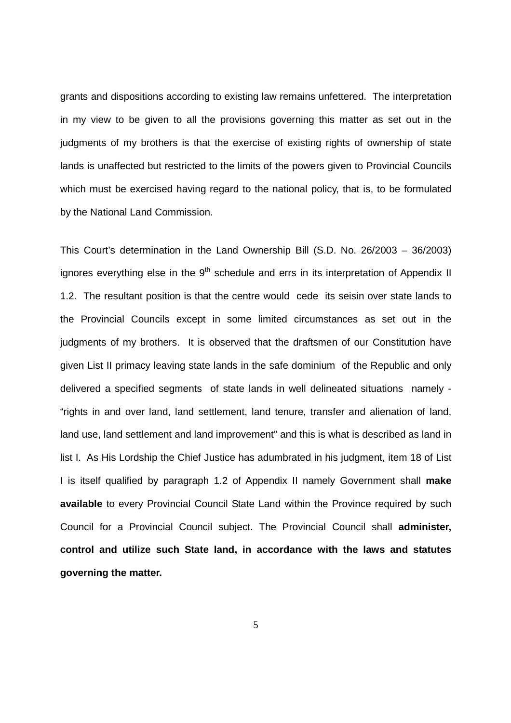grants and dispositions according to existing law remains unfettered. The interpretation in my view to be given to all the provisions governing this matter as set out in the judgments of my brothers is that the exercise of existing rights of ownership of state lands is unaffected but restricted to the limits of the powers given to Provincial Councils which must be exercised having regard to the national policy, that is, to be formulated by the National Land Commission.

This Court's determination in the Land Ownership Bill (S.D. No. 26/2003 – 36/2003) ignores everything else in the  $9<sup>th</sup>$  schedule and errs in its interpretation of Appendix II 1.2. The resultant position is that the centre would cede its seisin over state lands to the Provincial Councils except in some limited circumstances as set out in the judgments of my brothers. It is observed that the draftsmen of our Constitution have given List II primacy leaving state lands in the safe dominium of the Republic and only delivered a specified segments of state lands in well delineated situations namely - "rights in and over land, land settlement, land tenure, transfer and alienation of land, land use, land settlement and land improvement" and this is what is described as land in list I. As His Lordship the Chief Justice has adumbrated in his judgment, item 18 of List I is itself qualified by paragraph 1.2 of Appendix II namely Government shall **make available** to every Provincial Council State Land within the Province required by such Council for a Provincial Council subject. The Provincial Council shall **administer, control and utilize such State land, in accordance with the laws and statutes governing the matter.** 

5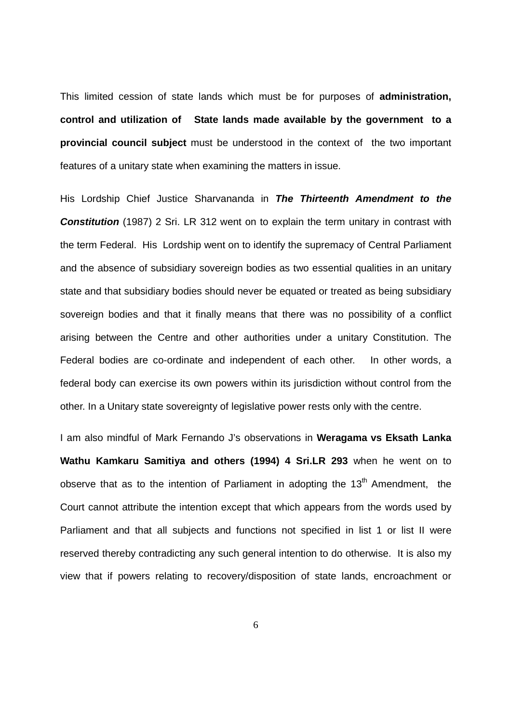This limited cession of state lands which must be for purposes of **administration, control and utilization of State lands made available by the government to a provincial council subject** must be understood in the context of the two important features of a unitary state when examining the matters in issue.

His Lordship Chief Justice Sharvananda in **The Thirteenth Amendment to the Constitution** (1987) 2 Sri. LR 312 went on to explain the term unitary in contrast with the term Federal. His Lordship went on to identify the supremacy of Central Parliament and the absence of subsidiary sovereign bodies as two essential qualities in an unitary state and that subsidiary bodies should never be equated or treated as being subsidiary sovereign bodies and that it finally means that there was no possibility of a conflict arising between the Centre and other authorities under a unitary Constitution. The Federal bodies are co-ordinate and independent of each other. In other words, a federal body can exercise its own powers within its jurisdiction without control from the other. In a Unitary state sovereignty of legislative power rests only with the centre.

I am also mindful of Mark Fernando J's observations in **Weragama vs Eksath Lanka Wathu Kamkaru Samitiya and others (1994) 4 Sri.LR 293** when he went on to observe that as to the intention of Parliament in adopting the  $13<sup>th</sup>$  Amendment. the Court cannot attribute the intention except that which appears from the words used by Parliament and that all subjects and functions not specified in list 1 or list II were reserved thereby contradicting any such general intention to do otherwise. It is also my view that if powers relating to recovery/disposition of state lands, encroachment or